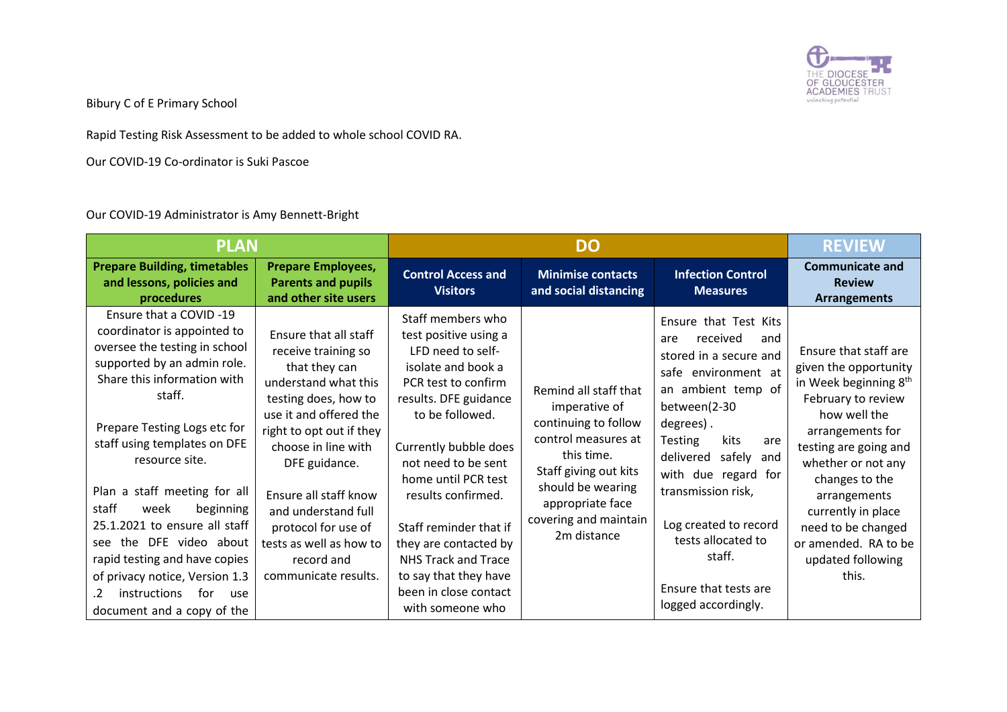

Bibury C of E Primary School

Rapid Testing Risk Assessment to be added to whole school COVID RA.

Our COVID-19 Co-ordinator is Suki Pascoe

Our COVID-19 Administrator is Amy Bennett-Bright

| <b>PLAN</b>                                                                                                                                                                                                                                                                                                                                                                                                                                                                                                         |                                                                                                                                                                                                                                                                                                                                                     | <b>DO</b>                                                                                                                                                                                                                                                                                                                                                                                                    |                                                                                                                                                                                                               |                                                                                                                                                                                                                                                                                                                                                                          | <b>REVIEW</b>                                                                                                                                                                                                                                                                                                                    |
|---------------------------------------------------------------------------------------------------------------------------------------------------------------------------------------------------------------------------------------------------------------------------------------------------------------------------------------------------------------------------------------------------------------------------------------------------------------------------------------------------------------------|-----------------------------------------------------------------------------------------------------------------------------------------------------------------------------------------------------------------------------------------------------------------------------------------------------------------------------------------------------|--------------------------------------------------------------------------------------------------------------------------------------------------------------------------------------------------------------------------------------------------------------------------------------------------------------------------------------------------------------------------------------------------------------|---------------------------------------------------------------------------------------------------------------------------------------------------------------------------------------------------------------|--------------------------------------------------------------------------------------------------------------------------------------------------------------------------------------------------------------------------------------------------------------------------------------------------------------------------------------------------------------------------|----------------------------------------------------------------------------------------------------------------------------------------------------------------------------------------------------------------------------------------------------------------------------------------------------------------------------------|
| <b>Prepare Building, timetables</b><br>and lessons, policies and<br>procedures                                                                                                                                                                                                                                                                                                                                                                                                                                      | <b>Prepare Employees,</b><br><b>Parents and pupils</b><br>and other site users                                                                                                                                                                                                                                                                      | <b>Control Access and</b><br><b>Visitors</b>                                                                                                                                                                                                                                                                                                                                                                 | <b>Minimise contacts</b><br>and social distancing                                                                                                                                                             | <b>Infection Control</b><br><b>Measures</b>                                                                                                                                                                                                                                                                                                                              | <b>Communicate and</b><br><b>Review</b><br><b>Arrangements</b>                                                                                                                                                                                                                                                                   |
| Ensure that a COVID-19<br>coordinator is appointed to<br>oversee the testing in school<br>supported by an admin role.<br>Share this information with<br>staff.<br>Prepare Testing Logs etc for<br>staff using templates on DFE<br>resource site.<br>Plan a staff meeting for all<br>staff<br>beginning<br>week<br>25.1.2021 to ensure all staff<br>the DFE video about<br>see<br>rapid testing and have copies<br>of privacy notice, Version 1.3<br>instructions<br>for<br>.2.<br>use<br>document and a copy of the | Ensure that all staff<br>receive training so<br>that they can<br>understand what this<br>testing does, how to<br>use it and offered the<br>right to opt out if they<br>choose in line with<br>DFE guidance.<br>Ensure all staff know<br>and understand full<br>protocol for use of<br>tests as well as how to<br>record and<br>communicate results. | Staff members who<br>test positive using a<br>LFD need to self-<br>isolate and book a<br>PCR test to confirm<br>results. DFE guidance<br>to be followed.<br>Currently bubble does<br>not need to be sent<br>home until PCR test<br>results confirmed.<br>Staff reminder that if<br>they are contacted by<br><b>NHS Track and Trace</b><br>to say that they have<br>been in close contact<br>with someone who | Remind all staff that<br>imperative of<br>continuing to follow<br>control measures at<br>this time.<br>Staff giving out kits<br>should be wearing<br>appropriate face<br>covering and maintain<br>2m distance | Ensure that Test Kits<br>received<br>are<br>and<br>stored in a secure and<br>safe<br>environment at<br>an ambient temp of<br>between(2-30<br>degrees).<br><b>Testing</b><br>kits<br>are<br>delivered safely<br>and<br>with due regard for<br>transmission risk,<br>Log created to record<br>tests allocated to<br>staff.<br>Ensure that tests are<br>logged accordingly. | Ensure that staff are<br>given the opportunity<br>in Week beginning 8 <sup>th</sup><br>February to review<br>how well the<br>arrangements for<br>testing are going and<br>whether or not any<br>changes to the<br>arrangements<br>currently in place<br>need to be changed<br>or amended. RA to be<br>updated following<br>this. |